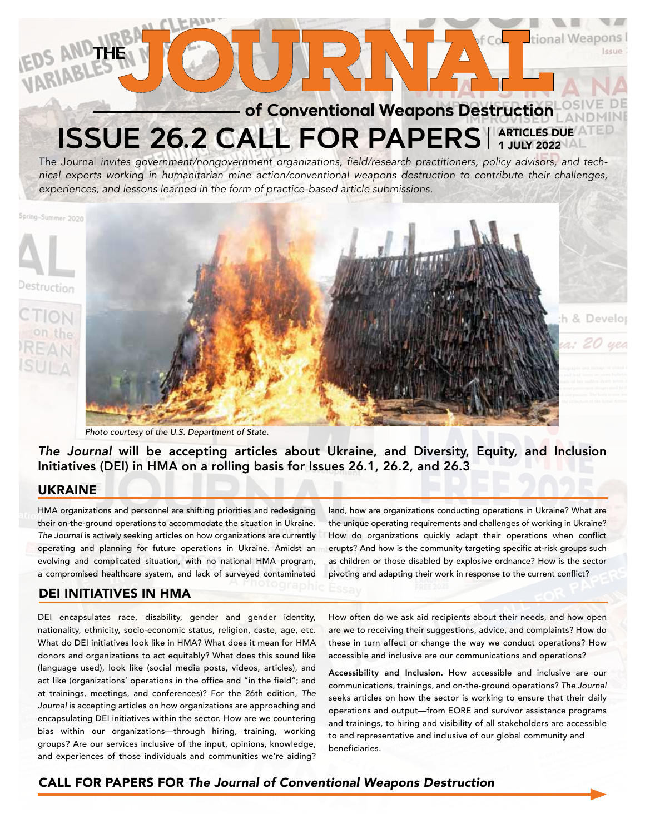# THE **OURNAL** ME **ISSUE 26.2 CALL FOR PAPERS** ARTICLES DUE 1 JULY 2022

The Journal *invites government/nongovernment organizations, field/research practitioners, policy advisors, and technical experts working in humanitarian mine action/conventional weapons destruction to contribute their challenges, experiences, and lessons learned in the form of practice-based article submissions.*

Spring-Summer 2020



*Photo courtesy of the U.S. Department of State.*

*The Journal* will be accepting articles about Ukraine, and Diversity, Equity, and Inclusion Initiatives (DEI) in HMA on a rolling basis for Issues 26.1, 26.2, and 26.3

### UKRAINE

HMA organizations and personnel are shifting priorities and redesigning their on-the-ground operations to accommodate the situation in Ukraine. *The Journal* is actively seeking articles on how organizations are currently operating and planning for future operations in Ukraine. Amidst an evolving and complicated situation, with no national HMA program, a compromised healthcare system, and lack of surveyed contaminated

### DEI INITIATIVES IN HMA

DEI encapsulates race, disability, gender and gender identity, nationality, ethnicity, socio-economic status, religion, caste, age, etc. What do DEI initiatives look like in HMA? What does it mean for HMA donors and organizations to act equitably? What does this sound like (language used), look like (social media posts, videos, articles), and act like (organizations' operations in the office and "in the field"; and at trainings, meetings, and conferences)? For the 26th edition, *The Journal* is accepting articles on how organizations are approaching and encapsulating DEI initiatives within the sector. How are we countering bias within our organizations—through hiring, training, working groups? Are our services inclusive of the input, opinions, knowledge, and experiences of those individuals and communities we're aiding?

land, how are organizations conducting operations in Ukraine? What are the unique operating requirements and challenges of working in Ukraine? How do organizations quickly adapt their operations when conflict erupts? And how is the community targeting specific at-risk groups such as children or those disabled by explosive ordnance? How is the sector pivoting and adapting their work in response to the current conflict?

h & Develor

a: 20

How often do we ask aid recipients about their needs, and how open are we to receiving their suggestions, advice, and complaints? How do these in turn affect or change the way we conduct operations? How accessible and inclusive are our communications and operations?

Accessibility and Inclusion. How accessible and inclusive are our communications, trainings, and on-the-ground operations? *The Journal*  seeks articles on how the sector is working to ensure that their daily operations and output—from EORE and survivor assistance programs and trainings, to hiring and visibility of all stakeholders are accessible to and representative and inclusive of our global community and beneficiaries.

# CALL FOR PAPERS FOR *The Journal of Conventional Weapons Destruction*